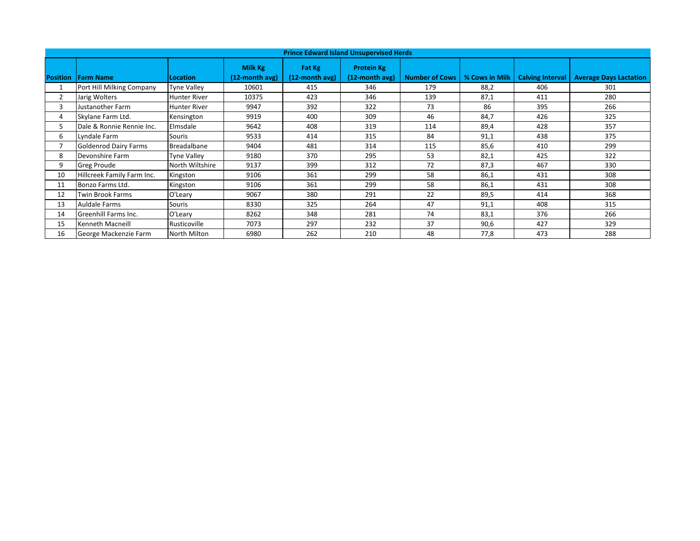| <b>Prince Edward Island Unsupervised Herds</b> |                              |                     |                              |                             |                                     |                       |                |                         |                               |  |
|------------------------------------------------|------------------------------|---------------------|------------------------------|-----------------------------|-------------------------------------|-----------------------|----------------|-------------------------|-------------------------------|--|
|                                                | <b>Position Farm Name</b>    | <b>Location</b>     | Milk Kg<br>$(12$ -month avg) | Fat Kg<br>$(12$ -month avg) | <b>Protein Kg</b><br>(12-month avg) | <b>Number of Cows</b> | % Cows in Milk | <b>Calving Interval</b> | <b>Average Days Lactation</b> |  |
| 1                                              | Port Hill Milking Company    | <b>Tyne Valley</b>  | 10601                        | 415                         | 346                                 | 179                   | 88,2           | 406                     | 301                           |  |
| 2                                              | Jarig Wolters                | <b>Hunter River</b> | 10375                        | 423                         | 346                                 | 139                   | 87,1           | 411                     | 280                           |  |
| 3                                              | Justanother Farm             | <b>Hunter River</b> | 9947                         | 392                         | 322                                 | 73                    | 86             | 395                     | 266                           |  |
| 4                                              | Skylane Farm Ltd.            | Kensington          | 9919                         | 400                         | 309                                 | 46                    | 84,7           | 426                     | 325                           |  |
| 5.                                             | Dale & Ronnie Rennie Inc.    | Elmsdale            | 9642                         | 408                         | 319                                 | 114                   | 89,4           | 428                     | 357                           |  |
| 6                                              | Lyndale Farm                 | Souris              | 9533                         | 414                         | 315                                 | 84                    | 91,1           | 438                     | 375                           |  |
|                                                | <b>Goldenrod Dairy Farms</b> | Breadalbane         | 9404                         | 481                         | 314                                 | 115                   | 85,6           | 410                     | 299                           |  |
| 8                                              | Devonshire Farm              | <b>Tyne Valley</b>  | 9180                         | 370                         | 295                                 | 53                    | 82,1           | 425                     | 322                           |  |
| 9                                              | <b>Greg Proude</b>           | North Wiltshire     | 9137                         | 399                         | 312                                 | 72                    | 87,3           | 467                     | 330                           |  |
| 10                                             | Hillcreek Family Farm Inc.   | Kingston            | 9106                         | 361                         | 299                                 | 58                    | 86,1           | 431                     | 308                           |  |
| 11                                             | Bonzo Farms Ltd.             | Kingston            | 9106                         | 361                         | 299                                 | 58                    | 86,1           | 431                     | 308                           |  |
| 12                                             | Twin Brook Farms             | O'Leary             | 9067                         | 380                         | 291                                 | 22                    | 89,5           | 414                     | 368                           |  |
| 13                                             | Auldale Farms                | Souris              | 8330                         | 325                         | 264                                 | 47                    | 91,1           | 408                     | 315                           |  |
| 14                                             | Greenhill Farms Inc.         | O'Leary             | 8262                         | 348                         | 281                                 | 74                    | 83,1           | 376                     | 266                           |  |
| 15                                             | Kenneth Macneill             | Rusticoville        | 7073                         | 297                         | 232                                 | 37                    | 90,6           | 427                     | 329                           |  |
| 16                                             | George Mackenzie Farm        | North Milton        | 6980                         | 262                         | 210                                 | 48                    | 77,8           | 473                     | 288                           |  |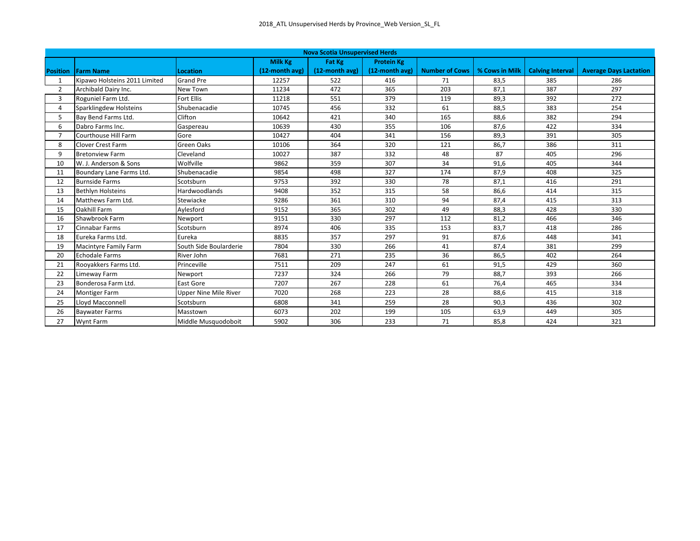| <b>Nova Scotia Unsupervised Herds</b> |                               |                              |                |                   |                   |                       |                |                         |                               |  |
|---------------------------------------|-------------------------------|------------------------------|----------------|-------------------|-------------------|-----------------------|----------------|-------------------------|-------------------------------|--|
|                                       |                               |                              | <b>Milk Kg</b> | Fat Kg            | <b>Protein Kg</b> |                       |                |                         |                               |  |
| <b>Position</b>                       | <b>Farm Name</b>              | <b>Location</b>              | (12-month avg) | $(12$ -month avg) | (12-month avg)    | <b>Number of Cows</b> | % Cows in Milk | <b>Calving Interval</b> | <b>Average Days Lactation</b> |  |
| 1                                     | Kipawo Holsteins 2011 Limited | <b>Grand Pre</b>             | 12257          | 522               | 416               | 71                    | 83,5           | 385                     | 286                           |  |
| $\overline{2}$                        | Archibald Dairy Inc.          | New Town                     | 11234          | 472               | 365               | 203                   | 87,1           | 387                     | 297                           |  |
| 3                                     | Roguniel Farm Ltd.            | <b>Fort Ellis</b>            | 11218          | 551               | 379               | 119                   | 89,3           | 392                     | 272                           |  |
| 4                                     | Sparklingdew Holsteins        | Shubenacadie                 | 10745          | 456               | 332               | 61                    | 88,5           | 383                     | 254                           |  |
| 5                                     | Bay Bend Farms Ltd.           | Clifton                      | 10642          | 421               | 340               | 165                   | 88,6           | 382                     | 294                           |  |
| 6                                     | Dabro Farms Inc.              | Gaspereau                    | 10639          | 430               | 355               | 106                   | 87,6           | 422                     | 334                           |  |
| $\overline{7}$                        | Courthouse Hill Farm          | Gore                         | 10427          | 404               | 341               | 156                   | 89,3           | 391                     | 305                           |  |
| 8                                     | <b>Clover Crest Farm</b>      | Green Oaks                   | 10106          | 364               | 320               | 121                   | 86,7           | 386                     | 311                           |  |
| 9                                     | <b>Bretonview Farm</b>        | Cleveland                    | 10027          | 387               | 332               | 48                    | 87             | 405                     | 296                           |  |
| 10                                    | W. J. Anderson & Sons         | Wolfville                    | 9862           | 359               | 307               | 34                    | 91,6           | 405                     | 344                           |  |
| 11                                    | Boundary Lane Farms Ltd.      | Shubenacadie                 | 9854           | 498               | 327               | 174                   | 87,9           | 408                     | 325                           |  |
| 12                                    | <b>Burnside Farms</b>         | Scotsburn                    | 9753           | 392               | 330               | 78                    | 87,1           | 416                     | 291                           |  |
| 13                                    | <b>Bethlyn Holsteins</b>      | Hardwoodlands                | 9408           | 352               | 315               | 58                    | 86,6           | 414                     | 315                           |  |
| 14                                    | Matthews Farm Ltd.            | Stewiacke                    | 9286           | 361               | 310               | 94                    | 87,4           | 415                     | 313                           |  |
| 15                                    | <b>Oakhill Farm</b>           | Aylesford                    | 9152           | 365               | 302               | 49                    | 88,3           | 428                     | 330                           |  |
| 16                                    | Shawbrook Farm                | Newport                      | 9151           | 330               | 297               | 112                   | 81,2           | 466                     | 346                           |  |
| 17                                    | <b>Cinnabar Farms</b>         | Scotsburn                    | 8974           | 406               | 335               | 153                   | 83,7           | 418                     | 286                           |  |
| 18                                    | Eureka Farms Ltd.             | Eureka                       | 8835           | 357               | 297               | 91                    | 87,6           | 448                     | 341                           |  |
| 19                                    | <b>Macintyre Family Farm</b>  | South Side Boularderie       | 7804           | 330               | 266               | 41                    | 87,4           | 381                     | 299                           |  |
| 20                                    | Echodale Farms                | River John                   | 7681           | 271               | 235               | 36                    | 86,5           | 402                     | 264                           |  |
| 21                                    | Rooyakkers Farms Ltd.         | Princeville                  | 7511           | 209               | 247               | 61                    | 91,5           | 429                     | 360                           |  |
| 22                                    | Limeway Farm                  | Newport                      | 7237           | 324               | 266               | 79                    | 88,7           | 393                     | 266                           |  |
| 23                                    | Bonderosa Farm Ltd.           | East Gore                    | 7207           | 267               | 228               | 61                    | 76,4           | 465                     | 334                           |  |
| 24                                    | <b>Montiger Farm</b>          | <b>Upper Nine Mile River</b> | 7020           | 268               | 223               | 28                    | 88,6           | 415                     | 318                           |  |
| 25                                    | Lloyd Macconnell              | Scotsburn                    | 6808           | 341               | 259               | 28                    | 90,3           | 436                     | 302                           |  |
| 26                                    | <b>Baywater Farms</b>         | Masstown                     | 6073           | 202               | 199               | 105                   | 63,9           | 449                     | 305                           |  |
| 27                                    | <b>Wynt Farm</b>              | Middle Musquodoboit          | 5902           | 306               | 233               | 71                    | 85,8           | 424                     | 321                           |  |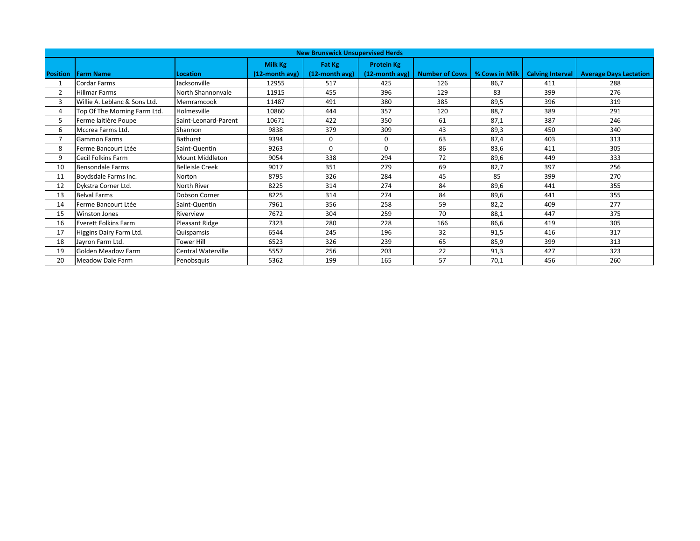| <b>New Brunswick Unsupervised Herds</b> |                               |                        |                |                |                   |                       |                |                         |                               |  |
|-----------------------------------------|-------------------------------|------------------------|----------------|----------------|-------------------|-----------------------|----------------|-------------------------|-------------------------------|--|
|                                         |                               |                        | Milk Kg        | Fat Kg         | <b>Protein Kg</b> |                       |                |                         |                               |  |
| <b>Position</b>                         | <b>IFarm Name</b>             | Location               | (12-month avg) | (12-month avg) | $(12$ -month avg) | <b>Number of Cows</b> | % Cows in Milk | <b>Calving Interval</b> | <b>Average Days Lactation</b> |  |
|                                         | <b>Cordar Farms</b>           | Jacksonville           | 12955          | 517            | 425               | 126                   | 86,7           | 411                     | 288                           |  |
| $\overline{2}$                          | <b>Hillmar Farms</b>          | North Shannonvale      | 11915          | 455            | 396               | 129                   | 83             | 399                     | 276                           |  |
| 3                                       | Willie A. Leblanc & Sons Ltd. | Memramcook             | 11487          | 491            | 380               | 385                   | 89,5           | 396                     | 319                           |  |
| 4                                       | Top Of The Morning Farm Ltd.  | Holmesville            | 10860          | 444            | 357               | 120                   | 88,7           | 389                     | 291                           |  |
| 5.                                      | Ferme laitière Poupe          | Saint-Leonard-Parent   | 10671          | 422            | 350               | 61                    | 87,1           | 387                     | 246                           |  |
| 6                                       | Mccrea Farms Ltd.             | Shannon                | 9838           | 379            | 309               | 43                    | 89,3           | 450                     | 340                           |  |
|                                         | <b>Gammon Farms</b>           | <b>Bathurst</b>        | 9394           | $\Omega$       | $\Omega$          | 63                    | 87,4           | 403                     | 313                           |  |
| 8                                       | Ferme Bancourt Ltée           | Saint-Quentin          | 9263           | $\Omega$       | $\Omega$          | 86                    | 83,6           | 411                     | 305                           |  |
| 9                                       | Cecil Folkins Farm            | Mount Middleton        | 9054           | 338            | 294               | 72                    | 89,6           | 449                     | 333                           |  |
| 10                                      | <b>Bensondale Farms</b>       | <b>Belleisle Creek</b> | 9017           | 351            | 279               | 69                    | 82,7           | 397                     | 256                           |  |
| 11                                      | Boydsdale Farms Inc.          | Norton                 | 8795           | 326            | 284               | 45                    | 85             | 399                     | 270                           |  |
| 12                                      | Dykstra Corner Ltd.           | North River            | 8225           | 314            | 274               | 84                    | 89,6           | 441                     | 355                           |  |
| 13                                      | <b>Belval Farms</b>           | Dobson Corner          | 8225           | 314            | 274               | 84                    | 89,6           | 441                     | 355                           |  |
| 14                                      | Ferme Bancourt Ltée           | Saint-Quentin          | 7961           | 356            | 258               | 59                    | 82,2           | 409                     | 277                           |  |
| 15                                      | <b>Winston Jones</b>          | Riverview              | 7672           | 304            | 259               | 70                    | 88,1           | 447                     | 375                           |  |
| 16                                      | <b>Everett Folkins Farm</b>   | Pleasant Ridge         | 7323           | 280            | 228               | 166                   | 86,6           | 419                     | 305                           |  |
| 17                                      | Higgins Dairy Farm Ltd.       | Quispamsis             | 6544           | 245            | 196               | 32                    | 91,5           | 416                     | 317                           |  |
| 18                                      | Jayron Farm Ltd.              | <b>Tower Hill</b>      | 6523           | 326            | 239               | 65                    | 85,9           | 399                     | 313                           |  |
| 19                                      | Golden Meadow Farm            | Central Waterville     | 5557           | 256            | 203               | 22                    | 91,3           | 427                     | 323                           |  |
| 20                                      | Meadow Dale Farm              | Penobsquis             | 5362           | 199            | 165               | 57                    | 70,1           | 456                     | 260                           |  |